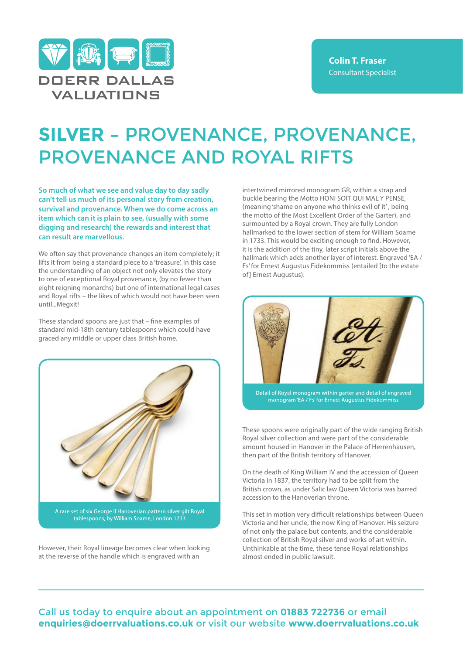

## **SILVER –** PROVENANCE, PROVENANCE, PROVENANCE AND ROYAL RIFTS

**So much of what we see and value day to day sadly can't tell us much of its personal story from creation, survival and provenance. When we do come across an item which can it is plain to see, (usually with some digging and research) the rewards and interest that can result are marvellous.**

We often say that provenance changes an item completely; it lifts it from being a standard piece to a 'treasure'. In this case the understanding of an object not only elevates the story to one of exceptional Royal provenance, (by no fewer than eight reigning monarchs) but one of international legal cases and Royal rifts – the likes of which would not have been seen until...Megxit!

These standard spoons are just that – fine examples of standard mid-18th century tablespoons which could have graced any middle or upper class British home.



However, their Royal lineage becomes clear when looking at the reverse of the handle which is engraved with an

intertwined mirrored monogram GR, within a strap and buckle bearing the Motto HONI SOIT QUI MAL Y PENSE, (meaning 'shame on anyone who thinks evil of it' , being the motto of the Most Excellent Order of the Garter), and surmounted by a Royal crown. They are fully London hallmarked to the lower section of stem for William Soame in 1733. This would be exciting enough to find. However, it is the addition of the tiny, later script initials above the hallmark which adds another layer of interest. Engraved 'EA / Fs' for Ernest Augustus Fidekommiss (entailed [to the estate of] Ernest Augustus).



Detail of Royal monogram within garter and detail of engraved monogram 'EA / Fs' for Ernest Augustus Fidekommiss

These spoons were originally part of the wide ranging British Royal silver collection and were part of the considerable amount housed in Hanover in the Palace of Herrenhausen, then part of the British territory of Hanover.

On the death of King William IV and the accession of Queen Victoria in 1837, the territory had to be split from the British crown, as under Salic law Queen Victoria was barred accession to the Hanoverian throne.

This set in motion very difficult relationships between Queen Victoria and her uncle, the now King of Hanover. His seizure of not only the palace but contents, and the considerable collection of British Royal silver and works of art within. Unthinkable at the time, these tense Royal relationships almost ended in public lawsuit.

Call us today to enquire about an appointment on **01883 722736** or email **enquiries@doerrvaluations.co.uk** or visit our website **www.doerrvaluations.co.uk**